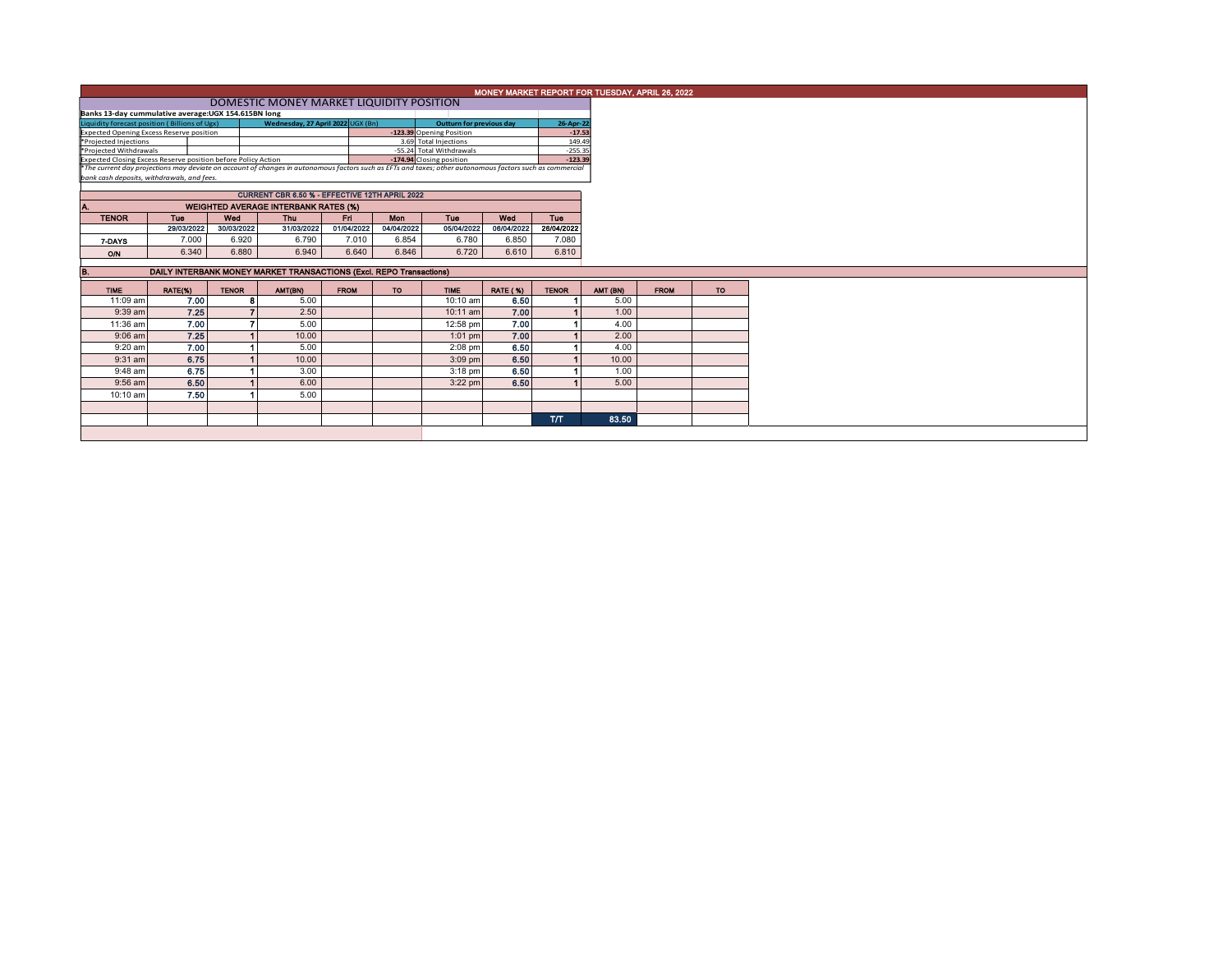| MONEY MARKET REPORT FOR TUESDAY, APRIL 26, 2022                                                                                                                                                        |                                                                     |              |                                             |                          |            |             |                 |                     |          |             |           |  |  |  |
|--------------------------------------------------------------------------------------------------------------------------------------------------------------------------------------------------------|---------------------------------------------------------------------|--------------|---------------------------------------------|--------------------------|------------|-------------|-----------------|---------------------|----------|-------------|-----------|--|--|--|
|                                                                                                                                                                                                        | DOMESTIC MONEY MARKET LIQUIDITY POSITION                            |              |                                             |                          |            |             |                 |                     |          |             |           |  |  |  |
| Banks 13-day cummulative average: UGX 154.615BN long                                                                                                                                                   |                                                                     |              |                                             |                          |            |             |                 |                     |          |             |           |  |  |  |
| Liquidity forecast position (Billions of Ugx)                                                                                                                                                          |                                                                     |              | Wednesday, 27 April 2022 UGX (Bn)           | Outturn for previous day | 26-Apr-22  |             |                 |                     |          |             |           |  |  |  |
| <b>Expected Opening Excess Reserve position</b>                                                                                                                                                        |                                                                     |              |                                             | $-17.53$                 |            |             |                 |                     |          |             |           |  |  |  |
| 3.69 Total Injections<br>*Projected Injections<br>*Projected Withdrawals                                                                                                                               |                                                                     |              |                                             |                          |            |             |                 | 149.49<br>$-255.35$ |          |             |           |  |  |  |
| Expected Closing Excess Reserve position before Policy Action                                                                                                                                          | -55.24 Total Withdrawals<br>-174.94 Closing position                |              | $-123.39$                                   |                          |            |             |                 |                     |          |             |           |  |  |  |
|                                                                                                                                                                                                        |                                                                     |              |                                             |                          |            |             |                 |                     |          |             |           |  |  |  |
| *The current day projections may deviate on account of changes in autonomous factors such as EFTs and taxes; other autonomous factors such as commercial<br>bank cash deposits, withdrawals, and fees, |                                                                     |              |                                             |                          |            |             |                 |                     |          |             |           |  |  |  |
|                                                                                                                                                                                                        | CURRENT CBR 6.50 % - EFFECTIVE 12TH APRIL 2022                      |              |                                             |                          |            |             |                 |                     |          |             |           |  |  |  |
|                                                                                                                                                                                                        |                                                                     |              |                                             |                          |            |             |                 |                     |          |             |           |  |  |  |
|                                                                                                                                                                                                        |                                                                     |              | <b>WEIGHTED AVERAGE INTERBANK RATES (%)</b> |                          |            |             |                 |                     |          |             |           |  |  |  |
| <b>TENOR</b>                                                                                                                                                                                           | Tue                                                                 | Wed          | Thu                                         | Fri I                    | Mon        | Tue         | Wed             | Tue                 |          |             |           |  |  |  |
|                                                                                                                                                                                                        | 29/03/2022                                                          | 30/03/2022   | 31/03/2022                                  | 01/04/2022               | 04/04/2022 | 05/04/2022  | 06/04/2022      | 26/04/2022          |          |             |           |  |  |  |
| 7-DAYS                                                                                                                                                                                                 | 7.000                                                               | 6.920        | 6.790                                       | 7.010                    | 6.854      | 6.780       | 6.850           | 7.080               |          |             |           |  |  |  |
| O/N                                                                                                                                                                                                    | 6.340                                                               | 6.880        | 6.940                                       | 6.640                    | 6.846      | 6.720       | 6.610           | 6.810               |          |             |           |  |  |  |
|                                                                                                                                                                                                        | DAILY INTERBANK MONEY MARKET TRANSACTIONS (Excl. REPO Transactions) |              |                                             |                          |            |             |                 |                     |          |             |           |  |  |  |
| в.                                                                                                                                                                                                     |                                                                     |              |                                             |                          |            |             |                 |                     |          |             |           |  |  |  |
| <b>TIME</b>                                                                                                                                                                                            | RATE(%)                                                             | <b>TENOR</b> | AMT(BN)                                     | <b>FROM</b>              | <b>TO</b>  | <b>TIME</b> | <b>RATE (%)</b> | <b>TENOR</b>        | AMT (BN) | <b>FROM</b> | <b>TO</b> |  |  |  |
| 11:09 am                                                                                                                                                                                               | 7.00                                                                |              | 5.00<br>8                                   |                          |            | 10:10 am    | 6.50            |                     |          |             |           |  |  |  |
|                                                                                                                                                                                                        |                                                                     |              |                                             |                          |            |             |                 |                     | 5.00     |             |           |  |  |  |
| $9:39$ am                                                                                                                                                                                              | 7.25                                                                |              | 2.50                                        |                          |            | $10:11$ am  | 7.00            |                     | 1.00     |             |           |  |  |  |
| 11:36 am                                                                                                                                                                                               | 7.00                                                                |              | 5.00                                        |                          |            | 12:58 pm    | 7.00            |                     | 4.00     |             |           |  |  |  |
| $9:06$ am                                                                                                                                                                                              | 7.25                                                                |              | 10.00                                       |                          |            | $1:01$ pm   | 7.00            |                     | 2.00     |             |           |  |  |  |
| 9:20 am                                                                                                                                                                                                | 7.00                                                                |              | 5.00                                        |                          |            | $2:08$ pm   | 6.50            |                     | 4.00     |             |           |  |  |  |
| $9:31$ am                                                                                                                                                                                              | 6.75                                                                |              | 10.00                                       |                          |            | $3:09$ pm   | 6.50            |                     | 10.00    |             |           |  |  |  |
| 9:48 am                                                                                                                                                                                                | 6.75                                                                |              | 3.00                                        |                          |            | $3:18$ pm   | 6.50            |                     | 1.00     |             |           |  |  |  |
| 9:56 am                                                                                                                                                                                                | 6.50                                                                |              | 6.00                                        |                          |            | $3:22$ pm   | 6.50            |                     | 5.00     |             |           |  |  |  |
| 10:10 am                                                                                                                                                                                               | 7.50                                                                |              | 5.00                                        |                          |            |             |                 |                     |          |             |           |  |  |  |
|                                                                                                                                                                                                        |                                                                     |              |                                             |                          |            |             |                 |                     |          |             |           |  |  |  |
|                                                                                                                                                                                                        |                                                                     |              |                                             |                          |            |             |                 | <b>T/T</b>          | 83.50    |             |           |  |  |  |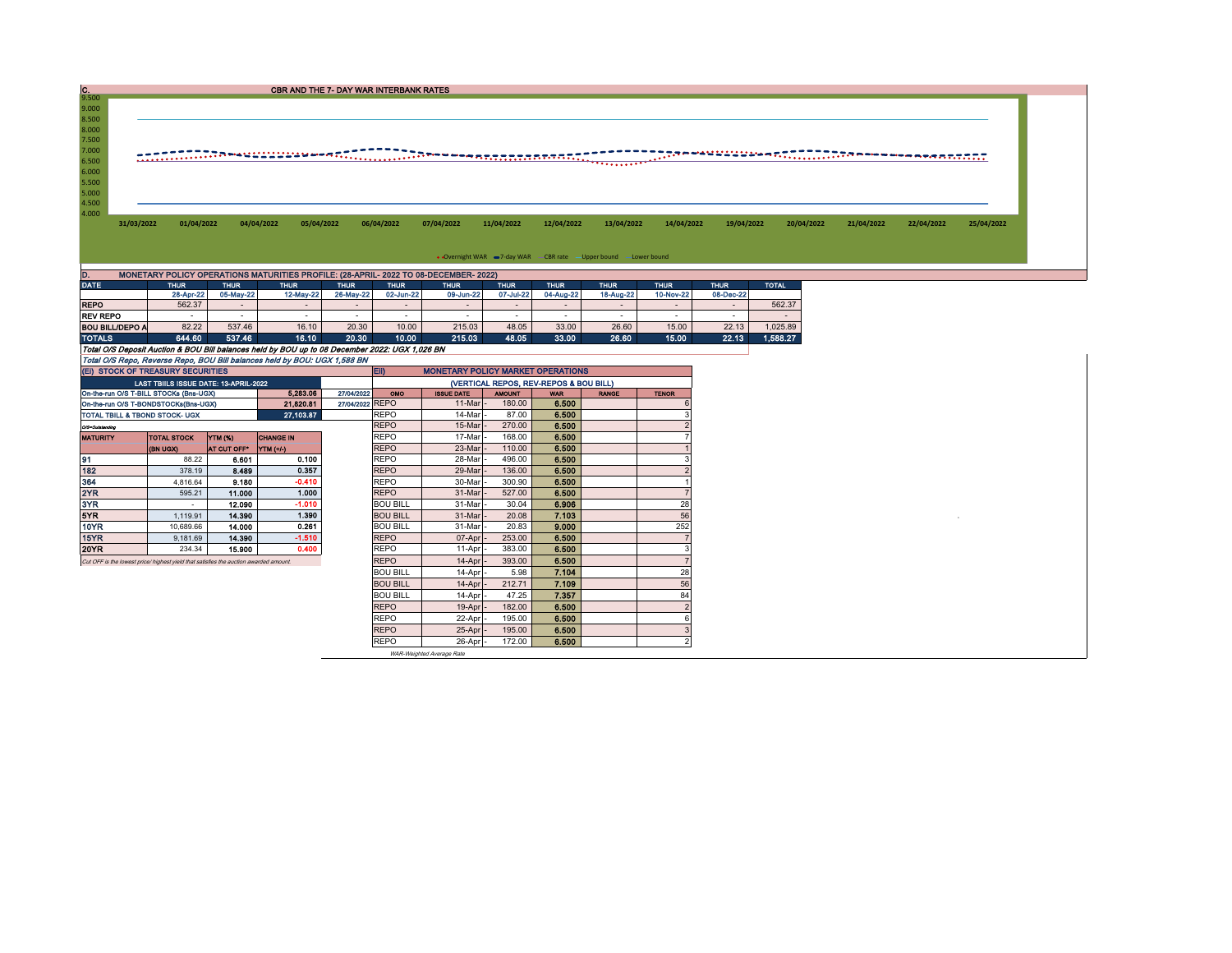| C.                                          |                                        |                          | <b>CBR AND THE 7- DAY WAR INTERBANK RATES</b>                                                  |                          |                          |                                          |                          |                                        |                                                                  |                          |                          |                                                                                                                      |            |            |            |
|---------------------------------------------|----------------------------------------|--------------------------|------------------------------------------------------------------------------------------------|--------------------------|--------------------------|------------------------------------------|--------------------------|----------------------------------------|------------------------------------------------------------------|--------------------------|--------------------------|----------------------------------------------------------------------------------------------------------------------|------------|------------|------------|
| 9.500<br>9.000                              |                                        |                          |                                                                                                |                          |                          |                                          |                          |                                        |                                                                  |                          |                          |                                                                                                                      |            |            |            |
| 8.500                                       |                                        |                          |                                                                                                |                          |                          |                                          |                          |                                        |                                                                  |                          |                          |                                                                                                                      |            |            |            |
| 8.000                                       |                                        |                          |                                                                                                |                          |                          |                                          |                          |                                        |                                                                  |                          |                          |                                                                                                                      |            |            |            |
| 7.500                                       |                                        |                          |                                                                                                |                          |                          |                                          |                          |                                        |                                                                  |                          |                          |                                                                                                                      |            |            |            |
| 7.000                                       |                                        |                          |                                                                                                |                          |                          |                                          |                          |                                        |                                                                  |                          |                          | <u>gunnelli var strande de la componente de la contexta de la componente de la componente de la componente de la</u> |            |            |            |
| 6.500                                       |                                        |                          |                                                                                                |                          |                          |                                          |                          |                                        | .                                                                |                          |                          |                                                                                                                      |            |            |            |
| 6.000                                       |                                        |                          |                                                                                                |                          |                          |                                          |                          |                                        |                                                                  |                          |                          |                                                                                                                      |            |            |            |
| 5.500                                       |                                        |                          |                                                                                                |                          |                          |                                          |                          |                                        |                                                                  |                          |                          |                                                                                                                      |            |            |            |
| 5.000                                       |                                        |                          |                                                                                                |                          |                          |                                          |                          |                                        |                                                                  |                          |                          |                                                                                                                      |            |            |            |
| 4.500<br>4.000                              |                                        |                          |                                                                                                |                          |                          |                                          |                          |                                        |                                                                  |                          |                          |                                                                                                                      |            |            |            |
| 31/03/2022                                  | 01/04/2022                             |                          | 04/04/2022<br>05/04/2022                                                                       |                          | 06/04/2022               | 07/04/2022                               | 11/04/2022               | 12/04/2022                             | 13/04/2022                                                       | 14/04/2022               | 19/04/2022               | 20/04/2022                                                                                                           | 21/04/2022 | 22/04/2022 | 25/04/2022 |
|                                             |                                        |                          |                                                                                                |                          |                          |                                          |                          |                                        |                                                                  |                          |                          |                                                                                                                      |            |            |            |
|                                             |                                        |                          |                                                                                                |                          |                          |                                          |                          |                                        |                                                                  |                          |                          |                                                                                                                      |            |            |            |
|                                             |                                        |                          |                                                                                                |                          |                          |                                          |                          |                                        | . Overnight WAR = 7-day WAR CBR rate - Upper bound - Lower bound |                          |                          |                                                                                                                      |            |            |            |
|                                             |                                        |                          |                                                                                                |                          |                          |                                          |                          |                                        |                                                                  |                          |                          |                                                                                                                      |            |            |            |
| D.                                          |                                        |                          | MONETARY POLICY OPERATIONS MATURITIES PROFILE: (28-APRIL-2022 TO 08-DECEMBER-2022)             |                          |                          |                                          |                          |                                        |                                                                  |                          |                          |                                                                                                                      |            |            |            |
| <b>DATE</b>                                 | <b>THUR</b><br>28-Apr-22               | <b>THUR</b><br>05-May-22 | <b>THUR</b><br>12-May-22                                                                       | <b>THUR</b><br>26-May-22 | <b>THUR</b><br>02-Jun-22 | <b>THUR</b><br>09-Jun-22                 | <b>THUR</b><br>07-Jul-22 | <b>THUR</b><br>04-Aug-22               | <b>THUR</b><br>18-Aug-22                                         | <b>THUR</b><br>10-Nov-22 | <b>THUR</b><br>08-Dec-22 | <b>TOTAL</b>                                                                                                         |            |            |            |
| <b>REPO</b>                                 | 562.37                                 |                          |                                                                                                | $\sim$                   |                          |                                          | $\sim$                   |                                        |                                                                  | $\sim$                   | $\sim$                   | 562.37                                                                                                               |            |            |            |
| <b>REV REPO</b>                             |                                        | $\sim$                   | $\sim$                                                                                         | $\sim$                   | $\sim$                   |                                          | $\sim$                   | $\sim$                                 | $\sim$                                                           | $\sim$                   | $\sim$                   |                                                                                                                      |            |            |            |
| <b>BOU BILL/DEPO A</b>                      | 82.22                                  | 537.46                   | 16.10                                                                                          | 20.30                    | 10.00                    | 215.03                                   | 48.05                    | 33.00                                  | 26.60                                                            | 15.00                    | 22.13                    | 1.025.89                                                                                                             |            |            |            |
| <b>TOTALS</b>                               | 644.60                                 | 537.46                   | 16.10                                                                                          | 20.30                    | 10.00                    | 215.03                                   | 48.05                    | 33.00                                  | 26.60                                                            | 15.00                    | 22.13                    | 1,588.27                                                                                                             |            |            |            |
|                                             |                                        |                          | Total O/S Deposit Auction & BOU Bill balances held by BOU up to 08 December 2022: UGX 1,026 BN |                          |                          |                                          |                          |                                        |                                                                  |                          |                          |                                                                                                                      |            |            |            |
|                                             |                                        |                          | Total O/S Repo, Reverse Repo, BOU Bill balances held by BOU: UGX 1,588 BN                      |                          |                          |                                          |                          |                                        |                                                                  |                          |                          |                                                                                                                      |            |            |            |
|                                             | (EI) STOCK OF TREASURY SECURITIES      |                          |                                                                                                |                          | EII)                     | <b>MONETARY POLICY MARKET OPERATIONS</b> |                          |                                        |                                                                  |                          |                          |                                                                                                                      |            |            |            |
|                                             | LAST TBIILS ISSUE DATE: 13-APRIL-2022  |                          |                                                                                                |                          |                          |                                          |                          | (VERTICAL REPOS, REV-REPOS & BOU BILL) |                                                                  |                          |                          |                                                                                                                      |            |            |            |
|                                             | On-the-run O/S T-BILL STOCKs (Bns-UGX) |                          | 5.283.06                                                                                       | 27/04/2022               | OMO                      | <b>ISSUE DATE</b>                        | <b>AMOUNT</b>            | <b>WAR</b>                             | <b>RANGE</b>                                                     | <b>TENOR</b>             |                          |                                                                                                                      |            |            |            |
|                                             | On-the-run O/S T-BONDSTOCKs(Bns-UGX)   |                          | 21.820.81                                                                                      | 27/04/2022 REPO          |                          | 11-Mar                                   | 180.00                   | 6.500                                  |                                                                  |                          |                          |                                                                                                                      |            |            |            |
| 27,103.87<br>TOTAL TBILL & TBOND STOCK- UGX |                                        |                          |                                                                                                |                          | <b>REPO</b>              | 14-Mar                                   | 87.00                    | 6.500                                  |                                                                  |                          |                          |                                                                                                                      |            |            |            |
| O/S=Outstanding                             |                                        |                          |                                                                                                | <b>REPO</b>              | 15-Mar                   | 270.00                                   | 6.500                    |                                        |                                                                  |                          |                          |                                                                                                                      |            |            |            |
| <b>MATURITY</b>                             | <b>TOTAL STOCK</b>                     | <b>YTM (%)</b>           | <b>CHANGE IN</b>                                                                               |                          | <b>REPO</b>              | 17-Mar                                   | 168.00                   | 6.500                                  |                                                                  |                          |                          |                                                                                                                      |            |            |            |
|                                             | (BN UGX)                               | AT CUT OFF*              | $\mathsf{NTM}$ (+/-)                                                                           |                          | <b>REPO</b>              | 23-Mar                                   | 110.00                   | 6,500                                  |                                                                  |                          |                          |                                                                                                                      |            |            |            |
| 91                                          | 88.22                                  | 6.601                    | 0.100                                                                                          |                          | <b>REPO</b>              | 28-Mar                                   | 496.00                   | 6.500                                  |                                                                  |                          |                          |                                                                                                                      |            |            |            |
| 182                                         | 378.19                                 | 8.489                    | 0.357                                                                                          |                          | <b>REPO</b>              | 29-Mar                                   | 136.00                   | 6.500                                  |                                                                  |                          |                          |                                                                                                                      |            |            |            |
| 364                                         | 4.816.64                               | 9.180                    | $-0.410$                                                                                       |                          | <b>REPO</b>              | 30-Mar                                   | 300.90                   | 6.500                                  |                                                                  |                          |                          |                                                                                                                      |            |            |            |

5YR 1,119.91 14.390 1.390 BOU BILL 31-Mar - 20.08 7.103 56 <sup>0</sup>

800 BILL 14-Apr - 5.98 7.104 28<br>BOU BILL 14-Apr - 212.71 7.109 56<br>BOU BILL 14-Apr - 47.25 7.357 34 BOU BILL | 14-Apr | 212.71 | 7.109 | 56 BOU BILL 14-Apr - 47.25 7.357 84 REPO | 19-Apr | 182.00 | 6.500 | 2 REPO | 22-Apr - 195.00 | 6.**500** | 6 REPO 25-Apr - 195.00 6.500 3<br>REPO 26-Apr - 172.00 6.500 2

26-Apr - 172.00 6.500 2

WAR-Weighted Average Rate

2YR 595.21 11.000 1.000 REPO 31-Mar - 527.00 6.500 7 3YR - 12.090 -1.010 BOU BILL 31-Mar - 30.04 6.906 28

10YR 10,689.66 14.000 0.261 BOU BILL 31-Mar - 20.83 9.000 252 15YR 9,181.69 14.390 -1.510 REPO 07-Apr - 253.00 6.500 7 3 | 20YR | 234.34 | 15.900 | 0.400 | REPO | 11-Apr - 383.00 | 6.500 | | 3<br>Cut OFF is the lowest price/ highest yield that satisfies the auction awarded amount. | REPO | 14-Apr - 393.00 | 6.500 | | | | | | | | | | | | | |